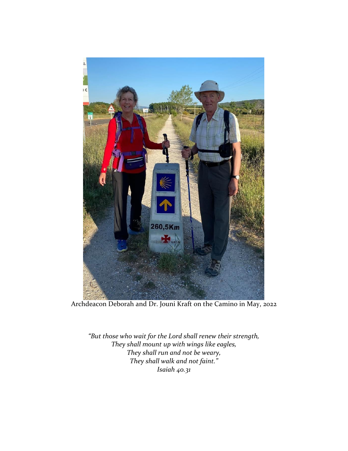

Archdeacon Deborah and Dr. Jouni Kraft on the Camino in May, 2022

*"But those who wait for the Lord shall renew their strength, They shall mount up with wings like eagles, They shall run and not be weary, They shall walk and not faint." Isaiah 40.31*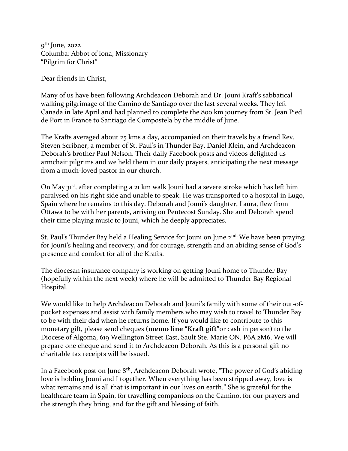9<sup>th</sup> June, 2022 Columba: Abbot of Iona, Missionary "Pilgrim for Christ"

Dear friends in Christ,

Many of us have been following Archdeacon Deborah and Dr. Jouni Kraft's sabbatical walking pilgrimage of the Camino de Santiago over the last several weeks. They left Canada in late April and had planned to complete the 800 km journey from St. Jean Pied de Port in France to Santiago de Compostela by the middle of June.

The Krafts averaged about 25 kms a day, accompanied on their travels by a friend Rev. Steven Scribner, a member of St. Paul's in Thunder Bay, Daniel Klein, and Archdeacon Deborah's brother Paul Nelson. Their daily Facebook posts and videos delighted us armchair pilgrims and we held them in our daily prayers, anticipating the next message from a much-loved pastor in our church.

On May 31<sup>st</sup>, after completing a 21 km walk Jouni had a severe stroke which has left him paralysed on his right side and unable to speak. He was transported to a hospital in Lugo, Spain where he remains to this day. Deborah and Jouni's daughter, Laura, flew from Ottawa to be with her parents, arriving on Pentecost Sunday. She and Deborah spend their time playing music to Jouni, which he deeply appreciates.

St. Paul's Thunder Bay held a Healing Service for Jouni on June  $2^{nd}$ . We have been praying for Jouni's healing and recovery, and for courage, strength and an abiding sense of God's presence and comfort for all of the Krafts.

The diocesan insurance company is working on getting Jouni home to Thunder Bay (hopefully within the next week) where he will be admitted to Thunder Bay Regional Hospital.

We would like to help Archdeacon Deborah and Jouni's family with some of their out-ofpocket expenses and assist with family members who may wish to travel to Thunder Bay to be with their dad when he returns home. If you would like to contribute to this monetary gift, please send cheques (**memo line "Kraft gift"**or cash in person) to the Diocese of Algoma, 619 Wellington Street East, Sault Ste. Marie ON. P6A 2M6. We will prepare one cheque and send it to Archdeacon Deborah. As this is a personal gift no charitable tax receipts will be issued.

In a Facebook post on June 8th, Archdeacon Deborah wrote, "The power of God's abiding love is holding Jouni and I together. When everything has been stripped away, love is what remains and is all that is important in our lives on earth." She is grateful for the healthcare team in Spain, for travelling companions on the Camino, for our prayers and the strength they bring, and for the gift and blessing of faith.